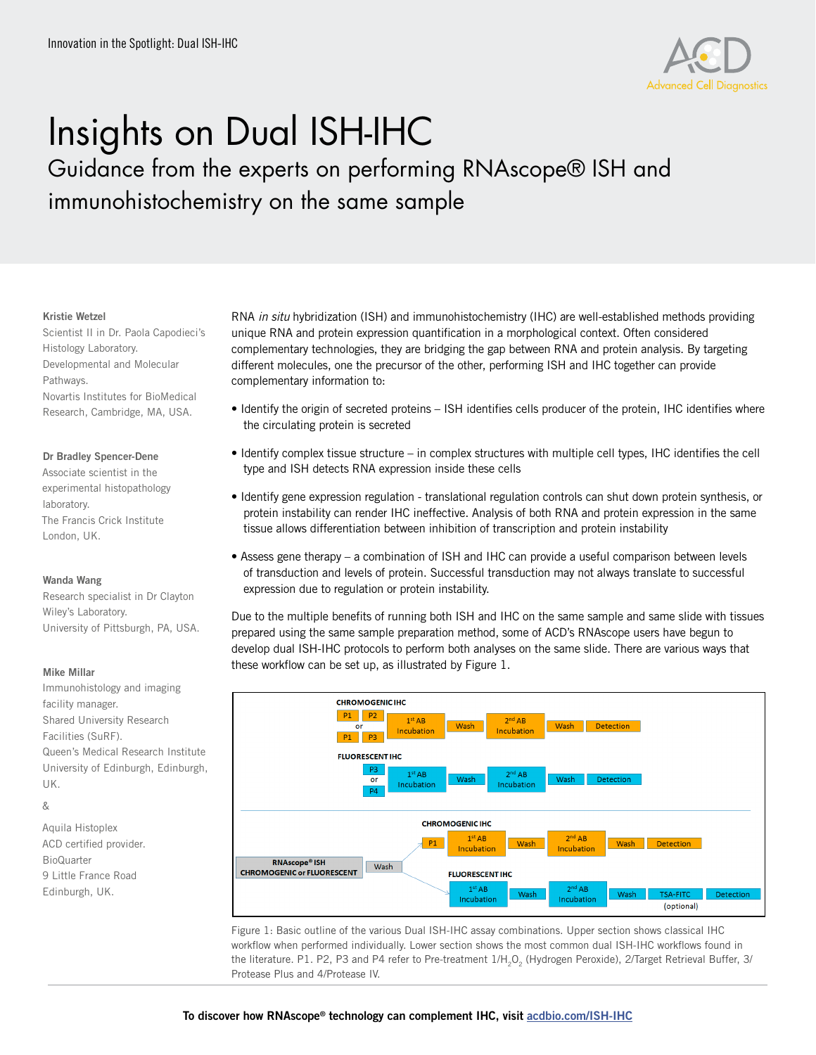

# Insights on Dual ISH-IHC

Guidance from the experts on performing RNAscope® ISH and immunohistochemistry on the same sample

#### Kristie Wetzel

Scientist II in Dr. Paola Capodieci's Histology Laboratory. Developmental and Molecular Pathways. Novartis Institutes for BioMedical Research, Cambridge, MA, USA.

## Dr Bradley Spencer-Dene

Associate scientist in the experimental histopathology laboratory. The Francis Crick Institute London, UK.

## Wanda Wang

Research specialist in Dr Clayton Wiley's Laboratory. University of Pittsburgh, PA, USA.

## Mike Millar

Immunohistology and imaging facility manager. Shared University Research Facilities (SuRF). Queen's Medical Research Institute University of Edinburgh, Edinburgh, UK.

# &

Aquila Histoplex ACD certified provider. **BioQuarter** 9 Little France Road Edinburgh, UK.

RNA *in situ* hybridization (ISH) and immunohistochemistry (IHC) are well-established methods providing unique RNA and protein expression quantification in a morphological context. Often considered complementary technologies, they are bridging the gap between RNA and protein analysis. By targeting different molecules, one the precursor of the other, performing ISH and IHC together can provide complementary information to:

- Identify the origin of secreted proteins ISH identifies cells producer of the protein, IHC identifies where the circulating protein is secreted
- Identify complex tissue structure in complex structures with multiple cell types, IHC identifies the cell type and ISH detects RNA expression inside these cells
- Identify gene expression regulation translational regulation controls can shut down protein synthesis, or protein instability can render IHC ineffective. Analysis of both RNA and protein expression in the same tissue allows differentiation between inhibition of transcription and protein instability
- Assess gene therapy a combination of ISH and IHC can provide a useful comparison between levels of transduction and levels of protein. Successful transduction may not always translate to successful expression due to regulation or protein instability.

Due to the multiple benefits of running both ISH and IHC on the same sample and same slide with tissues prepared using the same sample preparation method, some of ACD's RNAscope users have begun to develop dual ISH-IHC protocols to perform both analyses on the same slide. There are various ways that these workflow can be set up, as illustrated by Figure 1.



Figure 1: Basic outline of the various Dual ISH-IHC assay combinations. Upper section shows classical IHC workflow when performed individually. Lower section shows the most common dual ISH-IHC workflows found in the literature. P1. P2, P3 and P4 refer to Pre-treatment 1/H<sub>2</sub>O<sub>2</sub> (Hydrogen Peroxide), 2/Target Retrieval Buffer, 3/ Protease Plus and 4/Protease IV.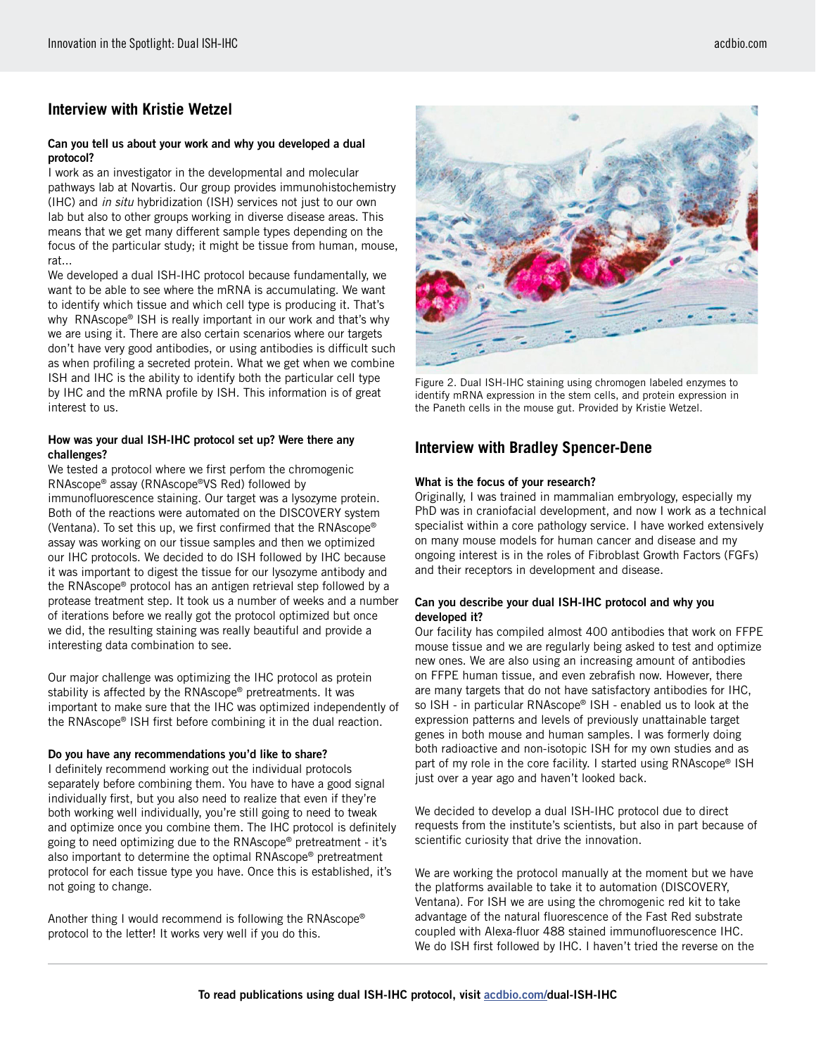# **Interview with Kristie Wetzel**

#### Can you tell us about your work and why you developed a dual protocol?

I work as an investigator in the developmental and molecular pathways lab at Novartis. Our group provides immunohistochemistry (IHC) and *in situ* hybridization (ISH) services not just to our own lab but also to other groups working in diverse disease areas. This means that we get many different sample types depending on the focus of the particular study; it might be tissue from human, mouse, rat...

We developed a dual ISH-IHC protocol because fundamentally, we want to be able to see where the mRNA is accumulating. We want to identify which tissue and which cell type is producing it. That's why RNAscope® ISH is really important in our work and that's why we are using it. There are also certain scenarios where our targets don't have very good antibodies, or using antibodies is difficult such as when profiling a secreted protein. What we get when we combine ISH and IHC is the ability to identify both the particular cell type by IHC and the mRNA profile by ISH. This information is of great interest to us.

## How was your dual ISH-IHC protocol set up? Were there any challenges?

We tested a protocol where we first perfom the chromogenic RNAscope® assay (RNAscope®VS Red) followed by immunofluorescence staining. Our target was a lysozyme protein. Both of the reactions were automated on the DISCOVERY system (Ventana). To set this up, we first confirmed that the RNAscope® assay was working on our tissue samples and then we optimized our IHC protocols. We decided to do ISH followed by IHC because it was important to digest the tissue for our lysozyme antibody and the RNAscope® protocol has an antigen retrieval step followed by a protease treatment step. It took us a number of weeks and a number of iterations before we really got the protocol optimized but once we did, the resulting staining was really beautiful and provide a interesting data combination to see.

Our major challenge was optimizing the IHC protocol as protein stability is affected by the RNAscope® pretreatments. It was important to make sure that the IHC was optimized independently of the RNAscope® ISH first before combining it in the dual reaction.

## Do you have any recommendations you'd like to share?

I definitely recommend working out the individual protocols separately before combining them. You have to have a good signal individually first, but you also need to realize that even if they're both working well individually, you're still going to need to tweak and optimize once you combine them. The IHC protocol is definitely going to need optimizing due to the RNAscope® pretreatment - it's also important to determine the optimal RNAscope® pretreatment protocol for each tissue type you have. Once this is established, it's not going to change.

Another thing I would recommend is following the RNAscope® protocol to the letter! It works very well if you do this.

Figure 2. Dual ISH-IHC staining using chromogen labeled enzymes to identify mRNA expression in the stem cells, and protein expression in the Paneth cells in the mouse gut. Provided by Kristie Wetzel.

# **Interview with Bradley Spencer-Dene**

## What is the focus of your research?

Originally, I was trained in mammalian embryology, especially my PhD was in craniofacial development, and now I work as a technical specialist within a core pathology service. I have worked extensively on many mouse models for human cancer and disease and my ongoing interest is in the roles of Fibroblast Growth Factors (FGFs) and their receptors in development and disease.

## Can you describe your dual ISH-IHC protocol and why you developed it?

Our facility has compiled almost 400 antibodies that work on FFPE mouse tissue and we are regularly being asked to test and optimize new ones. We are also using an increasing amount of antibodies on FFPE human tissue, and even zebrafish now. However, there are many targets that do not have satisfactory antibodies for IHC, so ISH - in particular RNAscope® ISH - enabled us to look at the expression patterns and levels of previously unattainable target genes in both mouse and human samples. I was formerly doing both radioactive and non-isotopic ISH for my own studies and as part of my role in the core facility. I started using RNAscope® ISH just over a year ago and haven't looked back.

We decided to develop a dual ISH-IHC protocol due to direct requests from the institute's scientists, but also in part because of scientific curiosity that drive the innovation.

We are working the protocol manually at the moment but we have the platforms available to take it to automation (DISCOVERY, Ventana). For ISH we are using the chromogenic red kit to take advantage of the natural fluorescence of the Fast Red substrate coupled with Alexa-fluor 488 stained immunofluorescence IHC. We do ISH first followed by IHC. I haven't tried the reverse on the

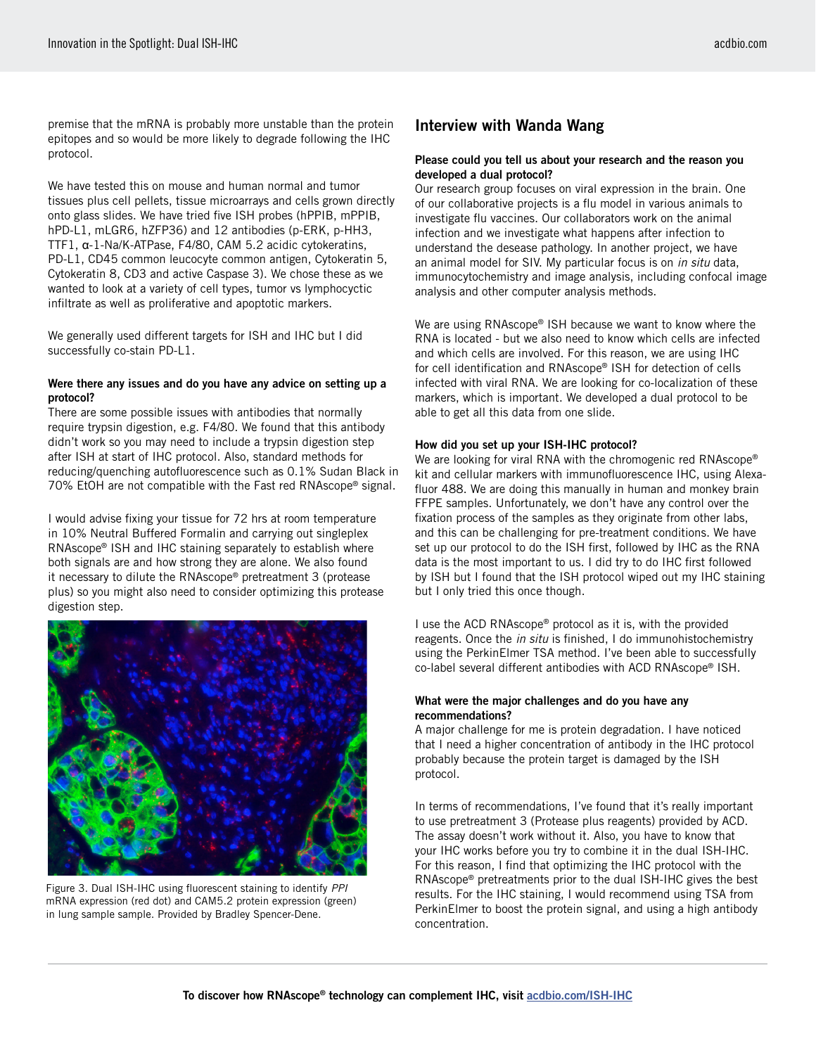premise that the mRNA is probably more unstable than the protein epitopes and so would be more likely to degrade following the IHC protocol.

We have tested this on mouse and human normal and tumor tissues plus cell pellets, tissue microarrays and cells grown directly onto glass slides. We have tried five ISH probes (hPPIB, mPPIB, hPD-L1, mLGR6, hZFP36) and 12 antibodies (p-ERK, p-HH3, TTF1, α-1-Na/K-ATPase, F4/80, CAM 5.2 acidic cytokeratins, PD-L1, CD45 common leucocyte common antigen, Cytokeratin 5, Cytokeratin 8, CD3 and active Caspase 3). We chose these as we wanted to look at a variety of cell types, tumor vs lymphocyctic infiltrate as well as proliferative and apoptotic markers.

We generally used different targets for ISH and IHC but I did successfully co-stain PD-L1.

## Were there any issues and do you have any advice on setting up a protocol?

There are some possible issues with antibodies that normally require trypsin digestion, e.g. F4/80. We found that this antibody didn't work so you may need to include a trypsin digestion step after ISH at start of IHC protocol. Also, standard methods for reducing/quenching autofluorescence such as 0.1% Sudan Black in 70% EtOH are not compatible with the Fast red RNAscope® signal.

I would advise fixing your tissue for 72 hrs at room temperature in 10% Neutral Buffered Formalin and carrying out singleplex RNAscope® ISH and IHC staining separately to establish where both signals are and how strong they are alone. We also found it necessary to dilute the RNAscope® pretreatment 3 (protease plus) so you might also need to consider optimizing this protease digestion step.



Figure 3. Dual ISH-IHC using fluorescent staining to identify *PPI* mRNA expression (red dot) and CAM5.2 protein expression (green) in lung sample sample. Provided by Bradley Spencer-Dene.

# Interview with Wanda Wang

#### Please could you tell us about your research and the reason you developed a dual protocol?

Our research group focuses on viral expression in the brain. One of our collaborative projects is a flu model in various animals to investigate flu vaccines. Our collaborators work on the animal infection and we investigate what happens after infection to understand the desease pathology. In another project, we have an animal model for SIV. My particular focus is on *in situ* data, immunocytochemistry and image analysis, including confocal image analysis and other computer analysis methods.

We are using RNAscope® ISH because we want to know where the RNA is located - but we also need to know which cells are infected and which cells are involved. For this reason, we are using IHC for cell identification and RNAscope® ISH for detection of cells infected with viral RNA. We are looking for co-localization of these markers, which is important. We developed a dual protocol to be able to get all this data from one slide.

## How did you set up your ISH-IHC protocol?

We are looking for viral RNA with the chromogenic red RNAscope® kit and cellular markers with immunofluorescence IHC, using Alexafluor 488. We are doing this manually in human and monkey brain FFPE samples. Unfortunately, we don't have any control over the fixation process of the samples as they originate from other labs, and this can be challenging for pre-treatment conditions. We have set up our protocol to do the ISH first, followed by IHC as the RNA data is the most important to us. I did try to do IHC first followed by ISH but I found that the ISH protocol wiped out my IHC staining but I only tried this once though.

I use the ACD RNAscope® protocol as it is, with the provided reagents. Once the *in situ* is finished, I do immunohistochemistry using the PerkinElmer TSA method. I've been able to successfully co-label several different antibodies with ACD RNAscope® ISH.

#### What were the major challenges and do you have any recommendations?

A major challenge for me is protein degradation. I have noticed that I need a higher concentration of antibody in the IHC protocol probably because the protein target is damaged by the ISH protocol.

In terms of recommendations, I've found that it's really important to use pretreatment 3 (Protease plus reagents) provided by ACD. The assay doesn't work without it. Also, you have to know that your IHC works before you try to combine it in the dual ISH-IHC. For this reason, I find that optimizing the IHC protocol with the RNAscope® pretreatments prior to the dual ISH-IHC gives the best results. For the IHC staining, I would recommend using TSA from PerkinElmer to boost the protein signal, and using a high antibody concentration.